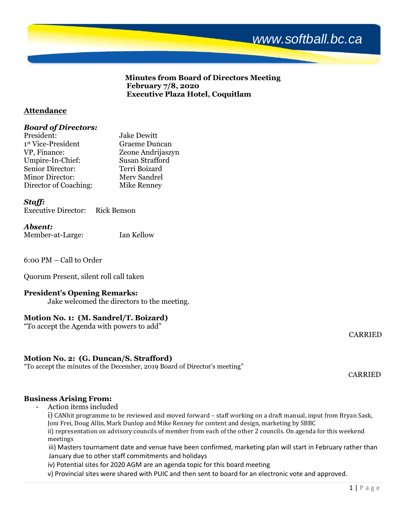

**Minutes from Board of Directors Meeting February 7/8, 2020 Executive Plaza Hotel, Coquitlam**

## **Attendance**

### *Board of Directors:*

| President:             | <b>Jake Dewitt</b> |
|------------------------|--------------------|
| 1st Vice-President     | Graeme Duncan      |
| VP, Finance:           | Zeone Andrijaszyn  |
| Umpire-In-Chief:       | Susan Strafford    |
| Senior Director:       | Terri Boizard      |
| <b>Minor Director:</b> | Merv Sandrel       |
| Director of Coaching:  | Mike Renney        |

### *Staff:*

Executive Director: Rick Benson

#### *Absent:*

Member-at-Large: Ian Kellow

6:00 PM – Call to Order

Quorum Present, silent roll call taken

### **President's Opening Remarks:**

Jake welcomed the directors to the meeting.

# **Motion No. 1: (M. Sandrel/T. Boizard)**

"To accept the Agenda with powers to add"

CARRIED

### **Motion No. 2: (G. Duncan/S. Strafford)**

"To accept the minutes of the December, 2019 Board of Director's meeting"

CARRIED

### **Business Arising From:**

- Action items included

i) CANhit programme to be reviewed and moved forward – staff working on a draft manual, input from Bryan Sask, Joni Frei, Doug Allin, Mark Dunlop and Mike Renney for content and design, marketing by SBBC

ii) representation on advisory councils of member from each of the other 2 councils. On agenda for this weekend meetings

 iii) Masters tournament date and venue have been confirmed, marketing plan will start in February rather than January due to other staff commitments and holidays

iv) Potential sites for 2020 AGM are an agenda topic for this board meeting

v) Provincial sites were shared with PUIC and then sent to board for an electronic vote and approved.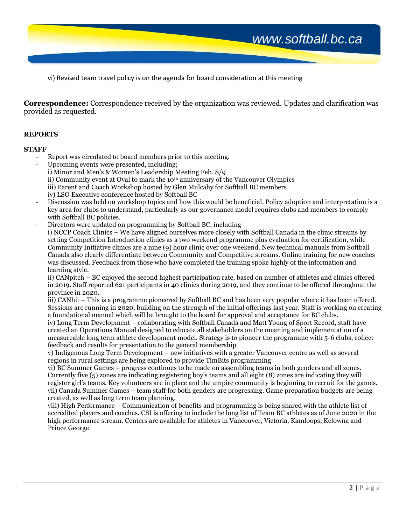*www.softball.bc.ca*

vi) Revised team travel policy is on the agenda for board consideration at this meeting

**Correspondence:** Correspondence received by the organization was reviewed. Updates and clarification was provided as requested.

#### **REPORTS**

#### **STAFF**

- Report was circulated to board members prior to this meeting.
- Upcoming events were presented, including; i) Minor and Men's & Women's Leadership Meeting Feb. 8/9 ii) Community event at Oval to mark the 10th anniversary of the Vancouver Olympics iii) Parent and Coach Workshop hosted by Glen Mulcahy for Softball BC members iv) LSO Executive conference hosted by Softball BC - Discussion was held on workshop topics and how this would be beneficial. Policy adoption and interpretation is a
- key area for clubs to understand, particularly as our governance model requires clubs and members to comply with Softball BC policies.
- Directors were updated on programming by Softball BC, including i) NCCP Coach Clinics – We have aligned ourselves more closely with Softball Canada in the clinic streams by setting Competition Introduction clinics as a two weekend programme plus evaluation for certification, while Community Initiative clinics are a nine (9) hour clinic over one weekend. New technical manuals from Softball Canada also clearly differentiate between Community and Competitive streams. Online training for new coaches was discussed. Feedback from those who have completed the training spoke highly of the information and learning style.

ii) CANpitch – BC enjoyed the second highest participation rate, based on number of athletes and clinics offered in 2019. Staff reported 621 participants in 40 clinics during 2019, and they continue to be offered throughout the province in 2020.

iii) CANhit – This is a programme pioneered by Softball BC and has been very popular where it has been offered. Sessions are running in 2020, building on the strength of the initial offerings last year. Staff is working on creating a foundational manual which will be brought to the board for approval and acceptance for BC clubs.

iv) Long Term Development – collaborating with Softball Canada and Matt Young of Sport Record, staff have created an Operations Manual designed to educate all stakeholders on the meaning and implementation of a measureable long term athlete development model. Strategy is to pioneer the programme with 5-6 clubs, collect feedback and results for presentation to the general membership

v) Indigenous Long Term Development – new initiatives with a greater Vancouver centre as well as several regions in rural settings are being explored to provide TimBits programming

vi) BC Summer Games – progress continues to be made on assembling teams in both genders and all zones. Currently five (5) zones are indicating registering boy's teams and all eight (8) zones are indicating they will register girl's teams. Key volunteers are in place and the umpire community is beginning to recruit for the games. vii) Canada Summer Games – team staff for both genders are progressing. Game preparation budgets are being created, as well as long term team planning.

viii) High Performance – Communication of benefits and programming is being shared with the athlete list of accredited players and coaches. CSI is offering to include the long list of Team BC athletes as of June 2020 in the high performance stream. Centers are available for athletes in Vancouver, Victoria, Kamloops, Kelowna and Prince George.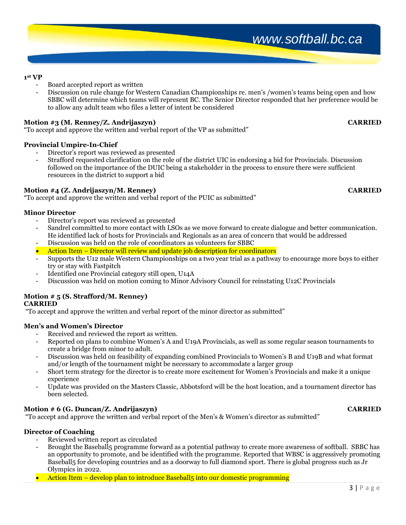#### **1 st VP**

- Board accepted report as written
- Discussion on rule change for Western Canadian Championships re. men's /women's teams being open and how SBBC will determine which teams will represent BC. The Senior Director responded that her preference would be to allow any adult team who files a letter of intent be considered

### **Motion #3 (M. Renney/Z. Andrijaszyn) CARRIED**

"To accept and approve the written and verbal report of the VP as submitted"

#### **Provincial Umpire-In-Chief**

- Director's report was reviewed as presented
- Strafford requested clarification on the role of the district UIC in endorsing a bid for Provincials. Discussion followed on the importance of the DUIC being a stakeholder in the process to ensure there were sufficient resources in the district to support a bid

#### **Motion #4 (Z. Andrijaszyn/M. Renney) CARRIED**

"To accept and approve the written and verbal report of the PUIC as submitted"

#### **Minor Director**

- Director's report was reviewed as presented
- Sandrel committed to more contact with LSOs as we move forward to create dialogue and better communication. He identified lack of hosts for Provincials and Regionals as an area of concern that would be addressed
- Discussion was held on the role of coordinators as volunteers for SBBC
- Action Item Director will review and update job description for coordinators
- Supports the U12 male Western Championships on a two year trial as a pathway to encourage more boys to either try or stay with Fastpitch
- Identified one Provincial category still open, U14A
- Discussion was held on motion coming to Minor Advisory Council for reinstating U12C Provincials

#### **Motion # 5 (S. Strafford/M. Renney) CARRIED**

"To accept and approve the written and verbal report of the minor director as submitted"

#### **Men's and Women's Director**

- Received and reviewed the report as written.
- Reported on plans to combine Women's A and U19A Provincials, as well as some regular season tournaments to create a bridge from minor to adult.
- Discussion was held on feasibility of expanding combined Provincials to Women's B and U19B and what format and/or length of the tournament might be necessary to accommodate a larger group
- Short term strategy for the director is to create more excitement for Women's Provincials and make it a unique experience
- Update was provided on the Masters Classic, Abbotsford will be the host location, and a tournament director has been selected.

### **Motion # 6 (G. Duncan/Z. Andrijaszyn) CARRIED**

"To accept and approve the written and verbal report of the Men's & Women's director as submitted"

#### **Director of Coaching**

- Reviewed written report as circulated
- Brought the Baseball5 programme forward as a potential pathway to create more awareness of softball. SBBC has an opportunity to promote, and be identified with the programme. Reported that WBSC is aggressively promoting Baseball5 for developing countries and as a doorway to full diamond sport. There is global progress such as Jr Olympics in 2022.
- Action Item develop plan to introduce Baseball<sub>5</sub> into our domestic programming

# *www.softball.bc.ca*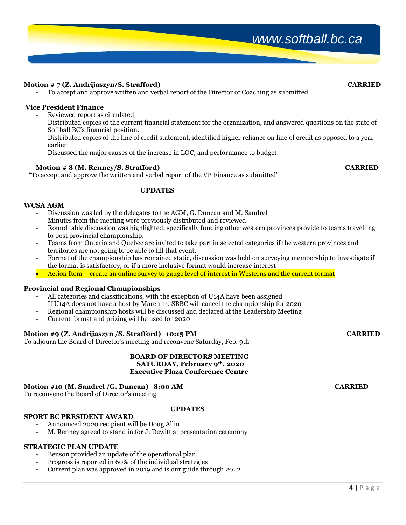# *www.softball.bc.ca*

### **Motion # 7 (Z. Andrijaszyn/S. Strafford) CARRIED**

- To accept and approve written and verbal report of the Director of Coaching as submitted

#### **Vice President Finance**

- Reviewed report as circulated
- Distributed copies of the current financial statement for the organization, and answered questions on the state of Softball BC's financial position.
- Distributed copies of the line of credit statement, identified higher reliance on line of credit as opposed to a year earlier
- Discussed the major causes of the increase in LOC, and performance to budget

### **Motion # 8 (M. Renney/S. Strafford) CARRIED**

"To accept and approve the written and verbal report of the VP Finance as submitted"

#### **UPDATES**

#### **WCSA AGM**

- Discussion was led by the delegates to the AGM, G. Duncan and M. Sandrel
- Minutes from the meeting were previously distributed and reviewed
- Round table discussion was highlighted, specifically funding other western provinces provide to teams travelling to post provincial championship.
- Teams from Ontario and Quebec are invited to take part in selected categories if the western provinces and territories are not going to be able to fill that event.
- Format of the championship has remained static, discussion was held on surveying membership to investigate if the format is satisfactory, or if a more inclusive format would increase interest
- Action Item create an online survey to gauge level of interest in Westerns and the current format

#### **Provincial and Regional Championships**

- All categories and classifications, with the exception of U14A have been assigned
- If U14A does not have a host by March 1st , SBBC will cancel the championship for 2020
- Regional championship hosts will be discussed and declared at the Leadership Meeting
- Current format and prizing will be used for 2020

### **Motion #9 (Z. Andrijaszyn /S. Strafford) 10:15 PM CARRIED**

To adjourn the Board of Director's meeting and reconvene Saturday, Feb. 9th

#### **BOARD OF DIRECTORS MEETING SATURDAY, February 9th, 2020 Executive Plaza Conference Centre**

# **Motion #10 (M. Sandrel /G. Duncan) 8:00 AM CARRIED**

To reconvene the Board of Director's meeting

### **UPDATES**

# **SPORT BC PRESIDENT AWARD**

- Announced 2020 recipient will be Doug Allin
- M. Renney agreed to stand in for J. Dewitt at presentation ceremony

# **STRATEGIC PLAN UPDATE**

- Benson provided an update of the operational plan.
- Progress is reported in 60% of the individual strategies
- Current plan was approved in 2019 and is our guide through 2022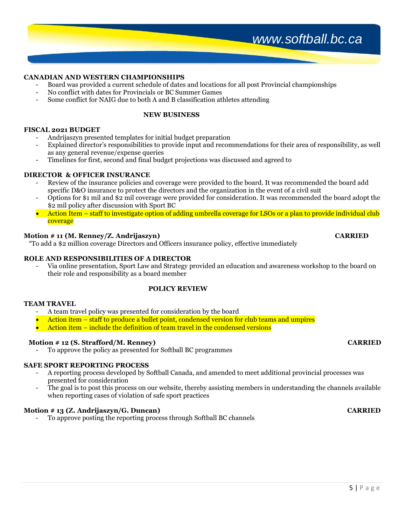# *www.softball.bc.ca*

#### **CANADIAN AND WESTERN CHAMPIONSHIPS**

- Board was provided a current schedule of dates and locations for all post Provincial championships
- No conflict with dates for Provincials or BC Summer Games
- Some conflict for NAIG due to both A and B classification athletes attending

#### **NEW BUSINESS**

#### **FISCAL 2021 BUDGET**

- Andrijaszyn presented templates for initial budget preparation
- Explained director's responsibilities to provide input and recommendations for their area of responsibility, as well as any general revenue/expense queries
- Timelines for first, second and final budget projections was discussed and agreed to

#### **DIRECTOR & OFFICER INSURANCE**

- Review of the insurance policies and coverage were provided to the board. It was recommended the board add specific D&O insurance to protect the directors and the organization in the event of a civil suit
- Options for \$1 mil and \$2 mil coverage were provided for consideration. It was recommended the board adopt the \$2 mil policy after discussion with Sport BC
- Action Item staff to investigate option of adding umbrella coverage for LSOs or a plan to provide individual club coverage

#### **Motion # 11 (M. Renney/Z. Andrijaszyn) CARRIED**

"To add a \$2 million coverage Directors and Officers insurance policy, effective immediately

#### **ROLE AND RESPONSIBILITIES OF A DIRECTOR**

- Via online presentation, Sport Law and Strategy provided an education and awareness workshop to the board on their role and responsibility as a board member

### **POLICY REVIEW**

#### **TEAM TRAVEL**

- A team travel policy was presented for consideration by the board
- Action item staff to produce a bullet point, condensed version for club teams and umpires
- Action item include the definition of team travel in the condensed versions

#### **Motion # 12 (S. Strafford/M. Renney) CARRIED**

To approve the policy as presented for Softball BC programmes

### **SAFE SPORT REPORTING PROCESS**

- A reporting process developed by Softball Canada, and amended to meet additional provincial processes was presented for consideration
- The goal is to post this process on our website, thereby assisting members in understanding the channels available when reporting cases of violation of safe sport practices

#### **Motion # 13 (Z. Andrijaszyn/G. Duncan) CARRIED**

- To approve posting the reporting process through Softball BC channels